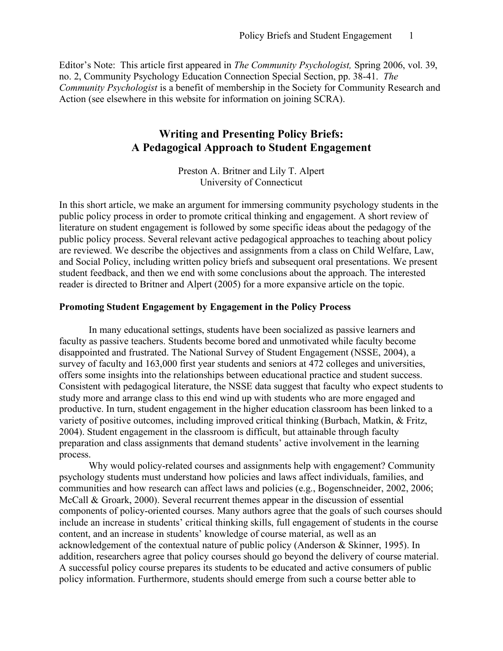Editor's Note: This article first appeared in *The Community Psychologist,* Spring 2006, vol. 39, no. 2, Community Psychology Education Connection Special Section, pp. 38-41. *The Community Psychologist* is a benefit of membership in the Society for Community Research and Action (see elsewhere in this website for information on joining SCRA).

# **Writing and Presenting Policy Briefs: A Pedagogical Approach to Student Engagement**

Preston A. Britner and Lily T. Alpert University of Connecticut

In this short article, we make an argument for immersing community psychology students in the public policy process in order to promote critical thinking and engagement. A short review of literature on student engagement is followed by some specific ideas about the pedagogy of the public policy process. Several relevant active pedagogical approaches to teaching about policy are reviewed. We describe the objectives and assignments from a class on Child Welfare, Law, and Social Policy, including written policy briefs and subsequent oral presentations. We present student feedback, and then we end with some conclusions about the approach. The interested reader is directed to Britner and Alpert (2005) for a more expansive article on the topic.

### **Promoting Student Engagement by Engagement in the Policy Process**

In many educational settings, students have been socialized as passive learners and faculty as passive teachers. Students become bored and unmotivated while faculty become disappointed and frustrated. The National Survey of Student Engagement (NSSE, 2004), a survey of faculty and 163,000 first year students and seniors at 472 colleges and universities, offers some insights into the relationships between educational practice and student success. Consistent with pedagogical literature, the NSSE data suggest that faculty who expect students to study more and arrange class to this end wind up with students who are more engaged and productive. In turn, student engagement in the higher education classroom has been linked to a variety of positive outcomes, including improved critical thinking (Burbach, Matkin, & Fritz, 2004). Student engagement in the classroom is difficult, but attainable through faculty preparation and class assignments that demand students' active involvement in the learning process.

Why would policy-related courses and assignments help with engagement? Community psychology students must understand how policies and laws affect individuals, families, and communities and how research can affect laws and policies (e.g., Bogenschneider, 2002, 2006; McCall & Groark, 2000). Several recurrent themes appear in the discussion of essential components of policy-oriented courses. Many authors agree that the goals of such courses should include an increase in students' critical thinking skills, full engagement of students in the course content, and an increase in students' knowledge of course material, as well as an acknowledgement of the contextual nature of public policy (Anderson & Skinner, 1995). In addition, researchers agree that policy courses should go beyond the delivery of course material. A successful policy course prepares its students to be educated and active consumers of public policy information. Furthermore, students should emerge from such a course better able to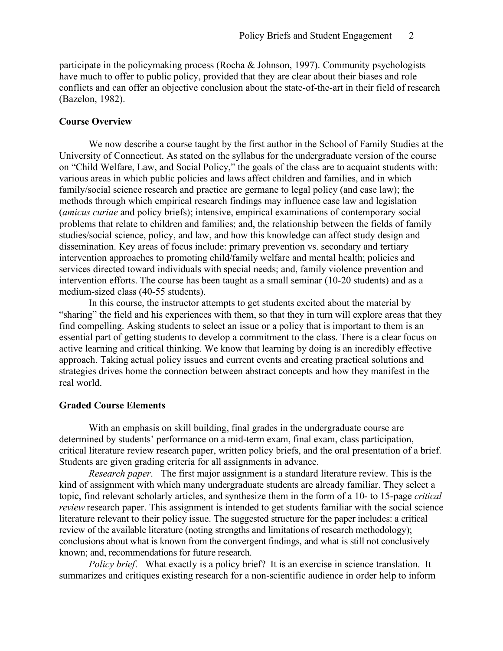participate in the policymaking process (Rocha & Johnson, 1997). Community psychologists have much to offer to public policy, provided that they are clear about their biases and role conflicts and can offer an objective conclusion about the state-of-the-art in their field of research (Bazelon, 1982).

# **Course Overview**

We now describe a course taught by the first author in the School of Family Studies at the University of Connecticut. As stated on the syllabus for the undergraduate version of the course on "Child Welfare, Law, and Social Policy," the goals of the class are to acquaint students with: various areas in which public policies and laws affect children and families, and in which family/social science research and practice are germane to legal policy (and case law); the methods through which empirical research findings may influence case law and legislation (*amicus curiae* and policy briefs); intensive, empirical examinations of contemporary social problems that relate to children and families; and, the relationship between the fields of family studies/social science, policy, and law, and how this knowledge can affect study design and dissemination. Key areas of focus include: primary prevention vs. secondary and tertiary intervention approaches to promoting child/family welfare and mental health; policies and services directed toward individuals with special needs; and, family violence prevention and intervention efforts. The course has been taught as a small seminar (10-20 students) and as a medium-sized class (40-55 students).

In this course, the instructor attempts to get students excited about the material by "sharing" the field and his experiences with them, so that they in turn will explore areas that they find compelling. Asking students to select an issue or a policy that is important to them is an essential part of getting students to develop a commitment to the class. There is a clear focus on active learning and critical thinking. We know that learning by doing is an incredibly effective approach. Taking actual policy issues and current events and creating practical solutions and strategies drives home the connection between abstract concepts and how they manifest in the real world.

#### **Graded Course Elements**

With an emphasis on skill building, final grades in the undergraduate course are determined by students' performance on a mid-term exam, final exam, class participation, critical literature review research paper, written policy briefs, and the oral presentation of a brief. Students are given grading criteria for all assignments in advance.

*Research paper*. The first major assignment is a standard literature review. This is the kind of assignment with which many undergraduate students are already familiar. They select a topic, find relevant scholarly articles, and synthesize them in the form of a 10- to 15-page *critical review* research paper. This assignment is intended to get students familiar with the social science literature relevant to their policy issue. The suggested structure for the paper includes: a critical review of the available literature (noting strengths and limitations of research methodology); conclusions about what is known from the convergent findings, and what is still not conclusively known; and, recommendations for future research.

*Policy brief*. What exactly is a policy brief? It is an exercise in science translation. It summarizes and critiques existing research for a non-scientific audience in order help to inform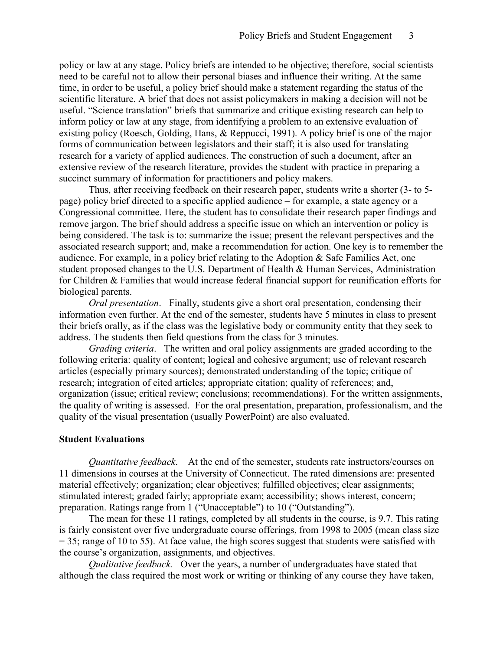policy or law at any stage. Policy briefs are intended to be objective; therefore, social scientists need to be careful not to allow their personal biases and influence their writing. At the same time, in order to be useful, a policy brief should make a statement regarding the status of the scientific literature. A brief that does not assist policymakers in making a decision will not be useful. "Science translation" briefs that summarize and critique existing research can help to inform policy or law at any stage, from identifying a problem to an extensive evaluation of existing policy (Roesch, Golding, Hans, & Reppucci, 1991). A policy brief is one of the major forms of communication between legislators and their staff; it is also used for translating research for a variety of applied audiences. The construction of such a document, after an extensive review of the research literature, provides the student with practice in preparing a succinct summary of information for practitioners and policy makers.

Thus, after receiving feedback on their research paper, students write a shorter (3- to 5 page) policy brief directed to a specific applied audience – for example, a state agency or a Congressional committee. Here, the student has to consolidate their research paper findings and remove jargon. The brief should address a specific issue on which an intervention or policy is being considered. The task is to: summarize the issue; present the relevant perspectives and the associated research support; and, make a recommendation for action. One key is to remember the audience. For example, in a policy brief relating to the Adoption & Safe Families Act, one student proposed changes to the U.S. Department of Health & Human Services, Administration for Children & Families that would increase federal financial support for reunification efforts for biological parents.

*Oral presentation*. Finally, students give a short oral presentation, condensing their information even further. At the end of the semester, students have 5 minutes in class to present their briefs orally, as if the class was the legislative body or community entity that they seek to address. The students then field questions from the class for 3 minutes.

*Grading criteria*. The written and oral policy assignments are graded according to the following criteria: quality of content; logical and cohesive argument; use of relevant research articles (especially primary sources); demonstrated understanding of the topic; critique of research; integration of cited articles; appropriate citation; quality of references; and, organization (issue; critical review; conclusions; recommendations). For the written assignments, the quality of writing is assessed. For the oral presentation, preparation, professionalism, and the quality of the visual presentation (usually PowerPoint) are also evaluated.

## **Student Evaluations**

*Quantitative feedback*. At the end of the semester, students rate instructors/courses on 11 dimensions in courses at the University of Connecticut. The rated dimensions are: presented material effectively; organization; clear objectives; fulfilled objectives; clear assignments; stimulated interest; graded fairly; appropriate exam; accessibility; shows interest, concern; preparation. Ratings range from 1 ("Unacceptable") to 10 ("Outstanding").

The mean for these 11 ratings, completed by all students in the course, is 9.7. This rating is fairly consistent over five undergraduate course offerings, from 1998 to 2005 (mean class size  $= 35$ ; range of 10 to 55). At face value, the high scores suggest that students were satisfied with the course's organization, assignments, and objectives.

*Qualitative feedback.* Over the years, a number of undergraduates have stated that although the class required the most work or writing or thinking of any course they have taken,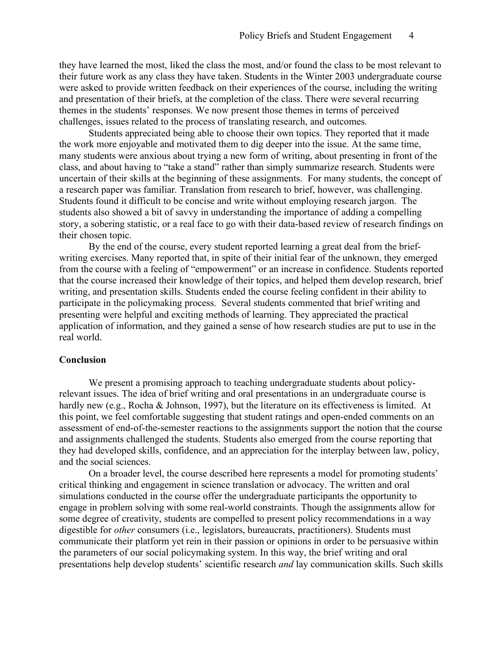they have learned the most, liked the class the most, and/or found the class to be most relevant to their future work as any class they have taken. Students in the Winter 2003 undergraduate course were asked to provide written feedback on their experiences of the course, including the writing and presentation of their briefs, at the completion of the class. There were several recurring themes in the students' responses. We now present those themes in terms of perceived challenges, issues related to the process of translating research, and outcomes.

Students appreciated being able to choose their own topics. They reported that it made the work more enjoyable and motivated them to dig deeper into the issue. At the same time, many students were anxious about trying a new form of writing, about presenting in front of the class, and about having to "take a stand" rather than simply summarize research. Students were uncertain of their skills at the beginning of these assignments. For many students, the concept of a research paper was familiar. Translation from research to brief, however, was challenging. Students found it difficult to be concise and write without employing research jargon. The students also showed a bit of savvy in understanding the importance of adding a compelling story, a sobering statistic, or a real face to go with their data-based review of research findings on their chosen topic.

By the end of the course, every student reported learning a great deal from the briefwriting exercises. Many reported that, in spite of their initial fear of the unknown, they emerged from the course with a feeling of "empowerment" or an increase in confidence. Students reported that the course increased their knowledge of their topics, and helped them develop research, brief writing, and presentation skills. Students ended the course feeling confident in their ability to participate in the policymaking process. Several students commented that brief writing and presenting were helpful and exciting methods of learning. They appreciated the practical application of information, and they gained a sense of how research studies are put to use in the real world.

### **Conclusion**

We present a promising approach to teaching undergraduate students about policyrelevant issues. The idea of brief writing and oral presentations in an undergraduate course is hardly new (e.g., Rocha & Johnson, 1997), but the literature on its effectiveness is limited. At this point, we feel comfortable suggesting that student ratings and open-ended comments on an assessment of end-of-the-semester reactions to the assignments support the notion that the course and assignments challenged the students. Students also emerged from the course reporting that they had developed skills, confidence, and an appreciation for the interplay between law, policy, and the social sciences.

On a broader level, the course described here represents a model for promoting students' critical thinking and engagement in science translation or advocacy. The written and oral simulations conducted in the course offer the undergraduate participants the opportunity to engage in problem solving with some real-world constraints. Though the assignments allow for some degree of creativity, students are compelled to present policy recommendations in a way digestible for *other* consumers (i.e., legislators, bureaucrats, practitioners). Students must communicate their platform yet rein in their passion or opinions in order to be persuasive within the parameters of our social policymaking system. In this way, the brief writing and oral presentations help develop students' scientific research *and* lay communication skills. Such skills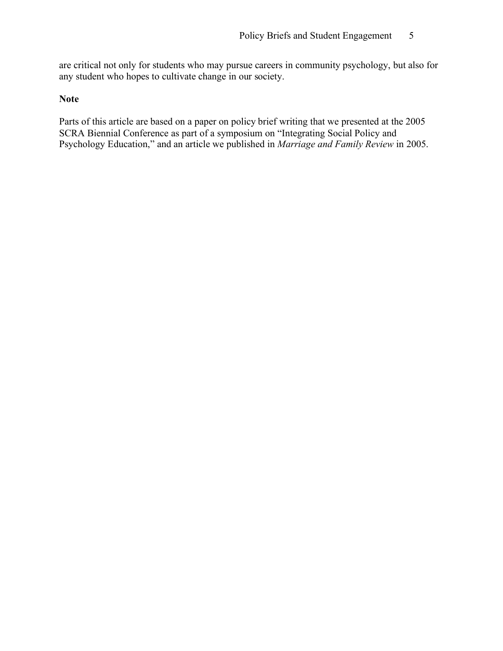are critical not only for students who may pursue careers in community psychology, but also for any student who hopes to cultivate change in our society.

# **Note**

Parts of this article are based on a paper on policy brief writing that we presented at the 2005 SCRA Biennial Conference as part of a symposium on "Integrating Social Policy and Psychology Education," and an article we published in *Marriage and Family Review* in 2005.